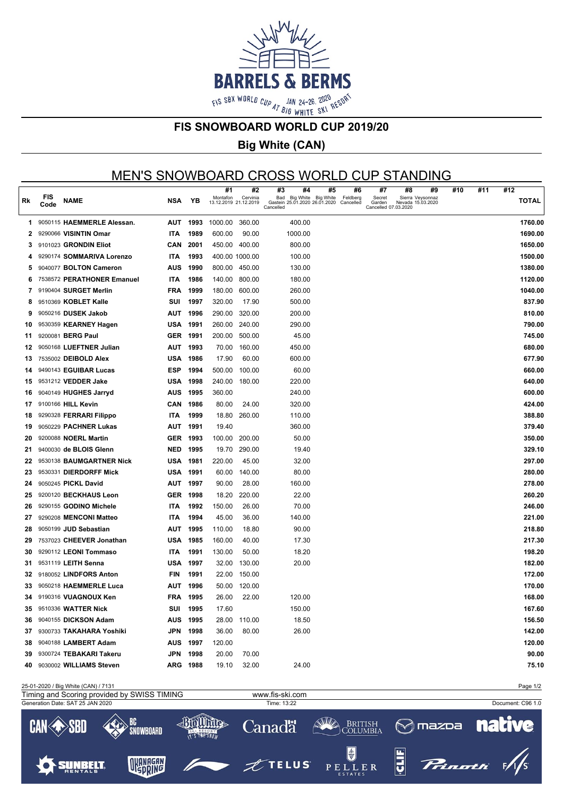

#### **FIS SNOWBOARD WORLD CUP 2019/20**

# **Big White (CAN)**

### MEN'S SNOWBOARD CROSS WORLD CUP STANDING

|     |             |                             |            |                 | #1                                | #2             | #3<br>#4                                                              | #5 | #6                    | #7                                       | #8<br>#9                              | #10 | #11 | #12          |
|-----|-------------|-----------------------------|------------|-----------------|-----------------------------------|----------------|-----------------------------------------------------------------------|----|-----------------------|------------------------------------------|---------------------------------------|-----|-----|--------------|
| Rk  | FIS<br>Code | <b>NAME</b>                 | NSA        | ΥB              | Montafon<br>13.12.2019 21.12.2019 | Cervinia       | Bad Big White Big White<br>Gastein 25.01.2020 26.01.2020<br>Cancelled |    | Feldberg<br>Cancelled | Secret<br>Garden<br>Cancelled 07.03.2020 | Sierra Veysonnaz<br>Nevada 15.03.2020 |     |     | <b>TOTAL</b> |
| 1.  |             | 9050115 HAEMMERLE Alessan.  |            | AUT 1993        | 1000.00                           | 360.00         | 400.00                                                                |    |                       |                                          |                                       |     |     | 1760.00      |
| 2   |             | 9290066 VISINTIN Omar       | <b>ITA</b> | 1989            | 600.00                            | 90.00          | 1000.00                                                               |    |                       |                                          |                                       |     |     | 1690.00      |
| 3   |             | 9101023 GRONDIN Eliot       | CAN        | 2001            |                                   | 450.00 400.00  | 800.00                                                                |    |                       |                                          |                                       |     |     | 1650.00      |
| 4   |             | 9290174 SOMMARIVA Lorenzo   | <b>ITA</b> | 1993            |                                   | 400.00 1000.00 | 100.00                                                                |    |                       |                                          |                                       |     |     | 1500.00      |
| 5   |             | 9040077 BOLTON Cameron      | AUS        | 1990            |                                   | 800.00 450.00  | 130.00                                                                |    |                       |                                          |                                       |     |     | 1380.00      |
| 6   |             | 7538572 PERATHONER Emanuel  | <b>ITA</b> | 1986            | 140.00                            | 800.00         | 180.00                                                                |    |                       |                                          |                                       |     |     | 1120.00      |
| 7   |             | 9190404 SURGET Merlin       | FRA        | 1999            | 180.00                            | 600.00         | 260.00                                                                |    |                       |                                          |                                       |     |     | 1040.00      |
| 8   |             | 9510369 KOBLET Kalle        | SUI        | 1997            | 320.00                            | 17.90          | 500.00                                                                |    |                       |                                          |                                       |     |     | 837.90       |
| 9   |             | 9050216 DUSEK Jakob         | AUT        | 1996            | 290.00                            | 320.00         | 200.00                                                                |    |                       |                                          |                                       |     |     | 810.00       |
| 10  |             | 9530359 KEARNEY Hagen       |            | <b>USA 1991</b> | 260.00                            | 240.00         | 290.00                                                                |    |                       |                                          |                                       |     |     | 790.00       |
| 11  |             | 9200081 BERG Paul           |            | GER 1991        | 200.00                            | 500.00         | 45.00                                                                 |    |                       |                                          |                                       |     |     | 745.00       |
| 12  |             | 9050168 LUEFTNER Julian     |            | AUT 1993        | 70.00                             | 160.00         | 450.00                                                                |    |                       |                                          |                                       |     |     | 680.00       |
| 13  |             | 7535002 DEIBOLD Alex        | USA        | 1986            | 17.90                             | 60.00          | 600.00                                                                |    |                       |                                          |                                       |     |     | 677.90       |
| 14  |             | 9490143 EGUIBAR Lucas       | <b>ESP</b> | 1994            | 500.00                            | 100.00         | 60.00                                                                 |    |                       |                                          |                                       |     |     | 660.00       |
| 15  |             | 9531212 VEDDER Jake         | USA        | 1998            | 240.00                            | 180.00         | 220.00                                                                |    |                       |                                          |                                       |     |     | 640.00       |
| 16  |             | 9040149 HUGHES Jarryd       | <b>AUS</b> | 1995            | 360.00                            |                | 240.00                                                                |    |                       |                                          |                                       |     |     | 600.00       |
| 17  |             | 9100166 HILL Kevin          | CAN        | 1986            | 80.00                             | 24.00          | 320.00                                                                |    |                       |                                          |                                       |     |     | 424.00       |
| 18  |             | 9290328 FERRARI Filippo     | <b>ITA</b> | 1999            | 18.80                             | 260.00         | 110.00                                                                |    |                       |                                          |                                       |     |     | 388.80       |
| 19  |             | 9050229 PACHNER Lukas       | AUT        | 1991            | 19.40                             |                | 360.00                                                                |    |                       |                                          |                                       |     |     | 379.40       |
| 20  |             | 9200088 <b>NOERL Martin</b> |            | GER 1993        | 100.00                            | 200.00         | 50.00                                                                 |    |                       |                                          |                                       |     |     | 350.00       |
| 21  |             | 9400030 de BLOIS Glenn      | NED        | 1995            | 19.70                             | 290.00         | 19.40                                                                 |    |                       |                                          |                                       |     |     | 329.10       |
| 22  |             | 9530138 BAUMGARTNER Nick    | USA        | 1981            | 220.00                            | 45.00          | 32.00                                                                 |    |                       |                                          |                                       |     |     | 297.00       |
| 23  |             | 9530331 DIERDORFF Mick      | USA        | 1991            | 60.00                             | 140.00         | 80.00                                                                 |    |                       |                                          |                                       |     |     | 280.00       |
| 24  |             | 9050245 PICKL David         |            | AUT 1997        | 90.00                             | 28.00          | 160.00                                                                |    |                       |                                          |                                       |     |     | 278.00       |
| 25  |             | 9200120 BECKHAUS Leon       |            | GER 1998        | 18.20                             | 220.00         | 22.00                                                                 |    |                       |                                          |                                       |     |     | 260.20       |
| 26  |             | 9290155 GODINO Michele      | <b>ITA</b> | 1992            | 150.00                            | 26.00          | 70.00                                                                 |    |                       |                                          |                                       |     |     | 246.00       |
| 27  |             | 9290208 MENCONI Matteo      | <b>ITA</b> | 1994            | 45.00                             | 36.00          | 140.00                                                                |    |                       |                                          |                                       |     |     | 221.00       |
| 28  |             | 9050199 JUD Sebastian       | AUT        | 1995            | 110.00                            | 18.80          | 90.00                                                                 |    |                       |                                          |                                       |     |     | 218.80       |
| 29  |             | 7537023 CHEEVER Jonathan    |            | <b>USA 1985</b> | 160.00                            | 40.00          | 17.30                                                                 |    |                       |                                          |                                       |     |     | 217.30       |
| 30  |             | 9290112 LEONI Tommaso       | <b>ITA</b> | 1991            | 130.00                            | 50.00          | 18.20                                                                 |    |                       |                                          |                                       |     |     | 198.20       |
| 31. |             | 9531119 LEITH Senna         | USA        | 1997            | 32.00                             | 130.00         | 20.00                                                                 |    |                       |                                          |                                       |     |     | 182.00       |
| 32  |             | 9180052 LINDFORS Anton      | <b>FIN</b> | 1991            | 22.00                             | 150.00         |                                                                       |    |                       |                                          |                                       |     |     | 172.00       |
| 33  |             | 9050218 HAEMMERLE Luca      | AUT        | 1996            | 50.00                             | 120.00         |                                                                       |    |                       |                                          |                                       |     |     | 170.00       |
| 34  |             | 9190316 VUAGNOUX Ken        |            | <b>FRA 1995</b> | 26.00                             | 22.00          | 120.00                                                                |    |                       |                                          |                                       |     |     | 168.00       |
| 35  |             | 9510336 WATTER Nick         |            | SUI 1995        | 17.60                             |                | 150.00                                                                |    |                       |                                          |                                       |     |     | 167.60       |
| 36. |             | 9040155 DICKSON Adam        |            | AUS 1995        |                                   | 28.00 110.00   | 18.50                                                                 |    |                       |                                          |                                       |     |     | 156.50       |
| 37  |             | 9300733 TAKAHARA Yoshiki    |            | JPN 1998        | 36.00                             | 80.00          | 26.00                                                                 |    |                       |                                          |                                       |     |     | 142.00       |
| 38  |             | 9040188 LAMBERT Adam        |            | AUS 1997        | 120.00                            |                |                                                                       |    |                       |                                          |                                       |     |     | 120.00       |
| 39  |             | 9300724 TEBAKARI Takeru     |            | JPN 1998        | 20.00                             | 70.00          |                                                                       |    |                       |                                          |                                       |     |     | 90.00        |
| 40. |             | 9030002 WILLIAMS Steven     |            | ARG 1988        | 19.10                             | 32.00          | 24.00                                                                 |    |                       |                                          |                                       |     |     | 75.10        |
|     |             |                             |            |                 |                                   |                |                                                                       |    |                       |                                          |                                       |     |     |              |

25-01-2020 / Big White (CAN) / 7131 Page 1/2 Timing and Scoring provided by SWISS TIMING www.fis-ski.comGeneration Date: SAT 25 JAN 2020 Time: 13:22 Document: C96 1.0 40mmm **STAR** BC British<br>|C<u>olumbi</u>a **Canadä**  $\otimes$ mazoa CAN  $E$ R SNOWBOARD T'S THE SNOW  $\frac{1}{3}$ OKANAGAN **TELUS SUNBELT**  $E R$  $P E$  $\mathbf{I}$  $\mathbf{I}$